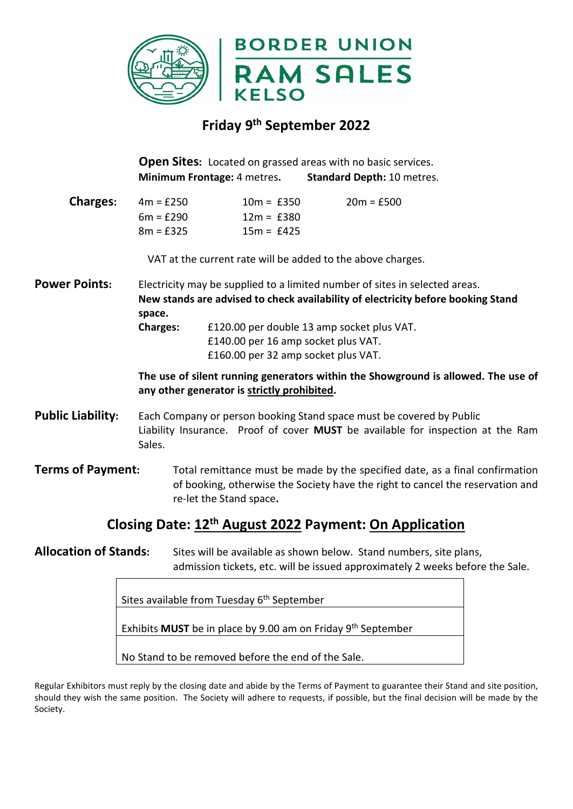

## **Friday 9th September 2022**

**Open Sites:** Located on grassed areas with no basic services. **Minimum Frontage:** 4 metres**. Standard Depth:** 10 metres.

**Charges:** 4m = £250 10m = £350 20m = £500  $6m = £290$   $12m = £380$  $8m = £325$   $15m = £425$ 

VAT at the current rate will be added to the above charges.

**Power Points:** Electricity may be supplied to a limited number of sites in selected areas. **New stands are advised to check availability of electricity before booking Stand space.**

 **Charges:** £120.00 per double 13 amp socket plus VAT. £140.00 per 16 amp socket plus VAT. £160.00 per 32 amp socket plus VAT.

**The use of silent running generators within the Showground is allowed. The use of any other generator is strictly prohibited.**

**Public Liability:** Each Company or person booking Stand space must be covered by Public Liability Insurance. Proof of cover **MUST** be available for inspection at the Ram Sales.

**Terms of Payment:** Total remittance must be made by the specified date, as a final confirmation of booking, otherwise the Society have the right to cancel the reservation and re-let the Stand space**.** 

## **Closing Date: 12th August 2022 Payment: On Application**

**Allocation of Stands:** Sites will be available as shown below. Stand numbers, site plans, admission tickets, etc. will be issued approximately 2 weeks before the Sale.

Sites available from Tuesday 6<sup>th</sup> September

Exhibits **MUST** be in place by 9.00 am on Friday 9th September

No Stand to be removed before the end of the Sale.

Regular Exhibitors must reply by the closing date and abide by the Terms of Payment to guarantee their Stand and site position, should they wish the same position. The Society will adhere to requests, if possible, but the final decision will be made by the Society.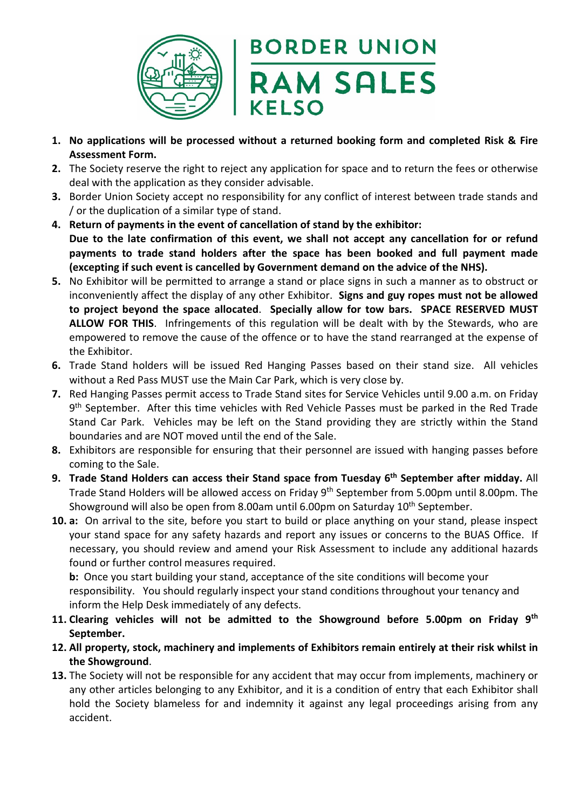

## **BORDER UNION RAM SALES KELSO**

- **1. No applications will be processed without a returned booking form and completed Risk & Fire Assessment Form.**
- **2.** The Society reserve the right to reject any application for space and to return the fees or otherwise deal with the application as they consider advisable.
- **3.** Border Union Society accept no responsibility for any conflict of interest between trade stands and / or the duplication of a similar type of stand.
- **4. Return of payments in the event of cancellation of stand by the exhibitor: Due to the late confirmation of this event, we shall not accept any cancellation for or refund payments to trade stand holders after the space has been booked and full payment made (excepting if such event is cancelled by Government demand on the advice of the NHS).**
- **5.** No Exhibitor will be permitted to arrange a stand or place signs in such a manner as to obstruct or inconveniently affect the display of any other Exhibitor. **Signs and guy ropes must not be allowed to project beyond the space allocated**. **Specially allow for tow bars. SPACE RESERVED MUST ALLOW FOR THIS**. Infringements of this regulation will be dealt with by the Stewards, who are empowered to remove the cause of the offence or to have the stand rearranged at the expense of the Exhibitor.
- **6.** Trade Stand holders will be issued Red Hanging Passes based on their stand size. All vehicles without a Red Pass MUST use the Main Car Park, which is very close by.
- **7.** Red Hanging Passes permit access to Trade Stand sites for Service Vehicles until 9.00 a.m. on Friday 9<sup>th</sup> September. After this time vehicles with Red Vehicle Passes must be parked in the Red Trade Stand Car Park. Vehicles may be left on the Stand providing they are strictly within the Stand boundaries and are NOT moved until the end of the Sale.
- **8.** Exhibitors are responsible for ensuring that their personnel are issued with hanging passes before coming to the Sale.
- **9. Trade Stand Holders can access their Stand space from Tuesday 6th September after midday.** All Trade Stand Holders will be allowed access on Friday 9<sup>th</sup> September from 5.00pm until 8.00pm. The Showground will also be open from 8.00am until 6.00pm on Saturday 10<sup>th</sup> September.
- **10. a:** On arrival to the site, before you start to build or place anything on your stand, please inspect your stand space for any safety hazards and report any issues or concerns to the BUAS Office. If necessary, you should review and amend your Risk Assessment to include any additional hazards found or further control measures required.

**b:** Once you start building your stand, acceptance of the site conditions will become your responsibility. You should regularly inspect your stand conditions throughout your tenancy and inform the Help Desk immediately of any defects.

- **11. Clearing vehicles will not be admitted to the Showground before 5.00pm on Friday 9th September.**
- **12. All property, stock, machinery and implements of Exhibitors remain entirely at their risk whilst in the Showground**.
- **13.** The Society will not be responsible for any accident that may occur from implements, machinery or any other articles belonging to any Exhibitor, and it is a condition of entry that each Exhibitor shall hold the Society blameless for and indemnity it against any legal proceedings arising from any accident.